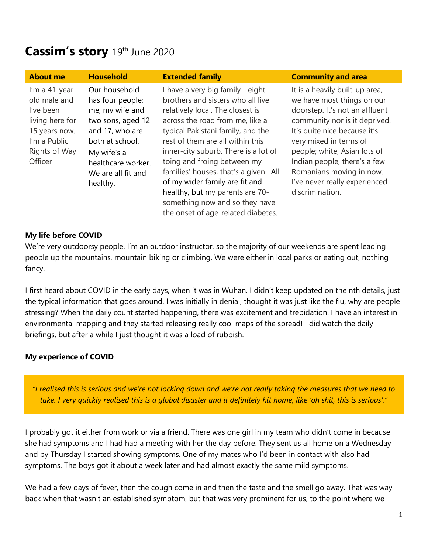# **Cassim's story** 19 th June 2020

| <b>About me</b>                                                                                                             | <b>Household</b>                                                                                                                                                                       | <b>Extended family</b>                                                                                                                                                                                                                                                                                                                                                                                                                                                             | <b>Community and area</b>                                                                                                                                                                                                                                                                                                                 |
|-----------------------------------------------------------------------------------------------------------------------------|----------------------------------------------------------------------------------------------------------------------------------------------------------------------------------------|------------------------------------------------------------------------------------------------------------------------------------------------------------------------------------------------------------------------------------------------------------------------------------------------------------------------------------------------------------------------------------------------------------------------------------------------------------------------------------|-------------------------------------------------------------------------------------------------------------------------------------------------------------------------------------------------------------------------------------------------------------------------------------------------------------------------------------------|
| I'm a 41-year-<br>old male and<br>I've been<br>living here for<br>15 years now.<br>I'm a Public<br>Rights of Way<br>Officer | Our household<br>has four people;<br>me, my wife and<br>two sons, aged 12<br>and 17, who are<br>both at school.<br>My wife's a<br>healthcare worker.<br>We are all fit and<br>healthy. | I have a very big family - eight<br>brothers and sisters who all live<br>relatively local. The closest is<br>across the road from me, like a<br>typical Pakistani family, and the<br>rest of them are all within this<br>inner-city suburb. There is a lot of<br>toing and froing between my<br>families' houses, that's a given. All<br>of my wider family are fit and<br>healthy, but my parents are 70-<br>something now and so they have<br>the onset of age-related diabetes. | It is a heavily built-up area,<br>we have most things on our<br>doorstep. It's not an affluent<br>community nor is it deprived.<br>It's quite nice because it's<br>very mixed in terms of<br>people; white, Asian lots of<br>Indian people, there's a few<br>Romanians moving in now.<br>I've never really experienced<br>discrimination. |

### **My life before COVID**

We're very outdoorsy people. I'm an outdoor instructor, so the majority of our weekends are spent leading people up the mountains, mountain biking or climbing. We were either in local parks or eating out, nothing fancy.

I first heard about COVID in the early days, when it was in Wuhan. I didn't keep updated on the nth details, just the typical information that goes around. I was initially in denial, thought it was just like the flu, why are people stressing? When the daily count started happening, there was excitement and trepidation. I have an interest in environmental mapping and they started releasing really cool maps of the spread! I did watch the daily briefings, but after a while I just thought it was a load of rubbish.

#### **My experience of COVID**

*"I realised this is serious and we're not locking down and we're not really taking the measures that we need to take. I very quickly realised this is a global disaster and it definitely hit home, like 'oh shit, this is serious'."*

I probably got it either from work or via a friend. There was one girl in my team who didn't come in because she had symptoms and I had had a meeting with her the day before. They sent us all home on a Wednesday and by Thursday I started showing symptoms. One of my mates who I'd been in contact with also had symptoms. The boys got it about a week later and had almost exactly the same mild symptoms.

We had a few days of fever, then the cough come in and then the taste and the smell go away. That was way back when that wasn't an established symptom, but that was very prominent for us, to the point where we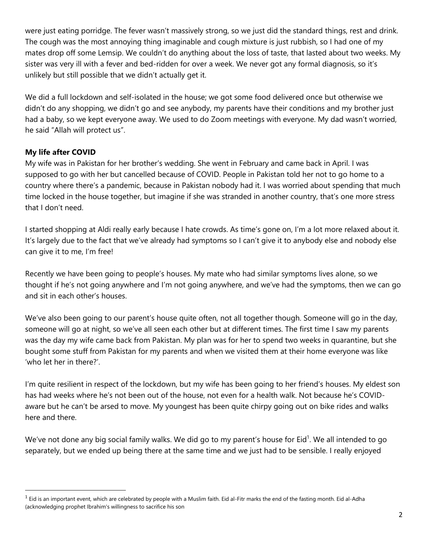were just eating porridge. The fever wasn't massively strong, so we just did the standard things, rest and drink. The cough was the most annoying thing imaginable and cough mixture is just rubbish, so I had one of my mates drop off some Lemsip. We couldn't do anything about the loss of taste, that lasted about two weeks. My sister was very ill with a fever and bed-ridden for over a week. We never got any formal diagnosis, so it's unlikely but still possible that we didn't actually get it.

We did a full lockdown and self-isolated in the house; we got some food delivered once but otherwise we didn't do any shopping, we didn't go and see anybody, my parents have their conditions and my brother just had a baby, so we kept everyone away. We used to do Zoom meetings with everyone. My dad wasn't worried, he said "Allah will protect us".

## **My life after COVID**

My wife was in Pakistan for her brother's wedding. She went in February and came back in April. I was supposed to go with her but cancelled because of COVID. People in Pakistan told her not to go home to a country where there's a pandemic, because in Pakistan nobody had it. I was worried about spending that much time locked in the house together, but imagine if she was stranded in another country, that's one more stress that I don't need.

I started shopping at Aldi really early because I hate crowds. As time's gone on, I'm a lot more relaxed about it. It's largely due to the fact that we've already had symptoms so I can't give it to anybody else and nobody else can give it to me, I'm free!

Recently we have been going to people's houses. My mate who had similar symptoms lives alone, so we thought if he's not going anywhere and I'm not going anywhere, and we've had the symptoms, then we can go and sit in each other's houses.

We've also been going to our parent's house quite often, not all together though. Someone will go in the day, someone will go at night, so we've all seen each other but at different times. The first time I saw my parents was the day my wife came back from Pakistan. My plan was for her to spend two weeks in quarantine, but she bought some stuff from Pakistan for my parents and when we visited them at their home everyone was like 'who let her in there?'.

I'm quite resilient in respect of the lockdown, but my wife has been going to her friend's houses. My eldest son has had weeks where he's not been out of the house, not even for a health walk. Not because he's COVIDaware but he can't be arsed to move. My youngest has been quite chirpy going out on bike rides and walks here and there.

We've not done any big social family walks. We did go to my parent's house for Eid<sup>1</sup>. We all intended to go separately, but we ended up being there at the same time and we just had to be sensible. I really enjoyed

 $^1$  Eid is an important event, which are celebrated by people with a Muslim faith. Eid al-Fitr marks the end of the fasting month. Eid al-Adha (acknowledging prophet Ibrahim's willingness to sacrifice his son